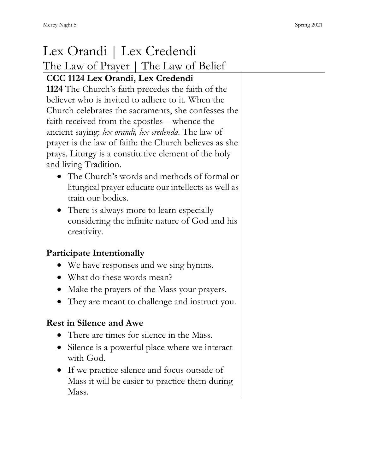# Lex Orandi | Lex Credendi The Law of Prayer | The Law of Belief **CCC 1124 Lex Orandi, Lex Credendi 1124** The Church's faith precedes the faith of the believer who is invited to adhere to it. When the Church celebrates the sacraments, she confesses the faith received from the apostles—whence the ancient saying: *lex orandi, lex credenda.* The law of prayer is the law of faith: the Church believes as she prays. Liturgy is a constitutive element of the holy and living Tradition. • The Church's words and methods of formal or liturgical prayer educate our intellects as well as train our bodies. • There is always more to learn especially considering the infinite nature of God and his creativity. **Participate Intentionally** • We have responses and we sing hymns. • What do these words mean? • Make the prayers of the Mass your prayers. • They are meant to challenge and instruct you. **Rest in Silence and Awe** • There are times for silence in the Mass. • Silence is a powerful place where we interact with God. • If we practice silence and focus outside of Mass it will be easier to practice them during Mass.